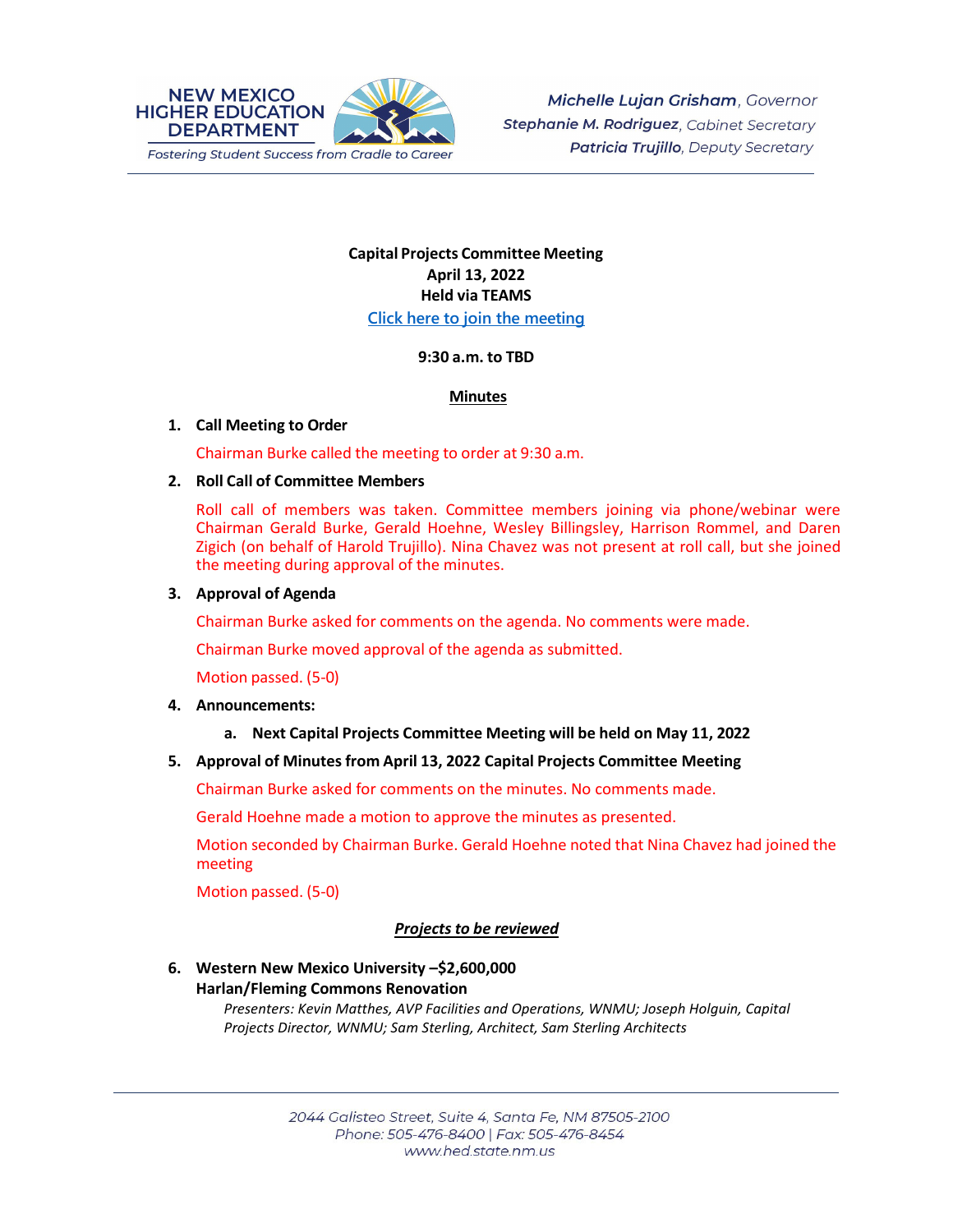

# **Capital Projects Committee Meeting April 13, 2022 Held via TEAMS [Click here](https://teams.microsoft.com/l/meetup-join/19%3ameeting_N2Y3ZjAzNTctYjk4ZC00ZDAxLTkxZWMtMjFjMGJjOTM1MTU2%40thread.v2/0?context=%7b%22Tid%22%3a%2204aa6bf4-d436-426f-bfa4-04b7a70e60ff%22%2c%22Oid%22%3a%222844ecea-db84-4cd8-97b7-9d410f1aa07b%22%7d) to join the meeting**

#### **9:30 a.m. to TBD**

#### **Minutes**

#### **1. Call Meeting to Order**

Chairman Burke called the meeting to order at 9:30 a.m.

#### **2. Roll Call of Committee Members**

Roll call of members was taken. Committee members joining via phone/webinar were Chairman Gerald Burke, Gerald Hoehne, Wesley Billingsley, Harrison Rommel, and Daren Zigich (on behalf of Harold Trujillo). Nina Chavez was not present at roll call, but she joined the meeting during approval of the minutes.

#### **3. Approval of Agenda**

Chairman Burke asked for comments on the agenda. No comments were made.

Chairman Burke moved approval of the agenda as submitted.

Motion passed. (5-0)

#### **4. Announcements:**

## **a. Next Capital Projects Committee Meeting will be held on May 11, 2022**

## **5. Approval of Minutesfrom April 13, 2022 Capital Projects Committee Meeting**

Chairman Burke asked for comments on the minutes. No comments made.

Gerald Hoehne made a motion to approve the minutes as presented.

Motion seconded by Chairman Burke. Gerald Hoehne noted that Nina Chavez had joined the meeting

Motion passed. (5-0)

## *Projects to be reviewed*

**6. Western New Mexico University –\$2,600,000 Harlan/Fleming Commons Renovation**

*Presenters: Kevin Matthes, AVP Facilities and Operations, WNMU; Joseph Holguin, Capital Projects Director, WNMU; Sam Sterling, Architect, Sam Sterling Architects*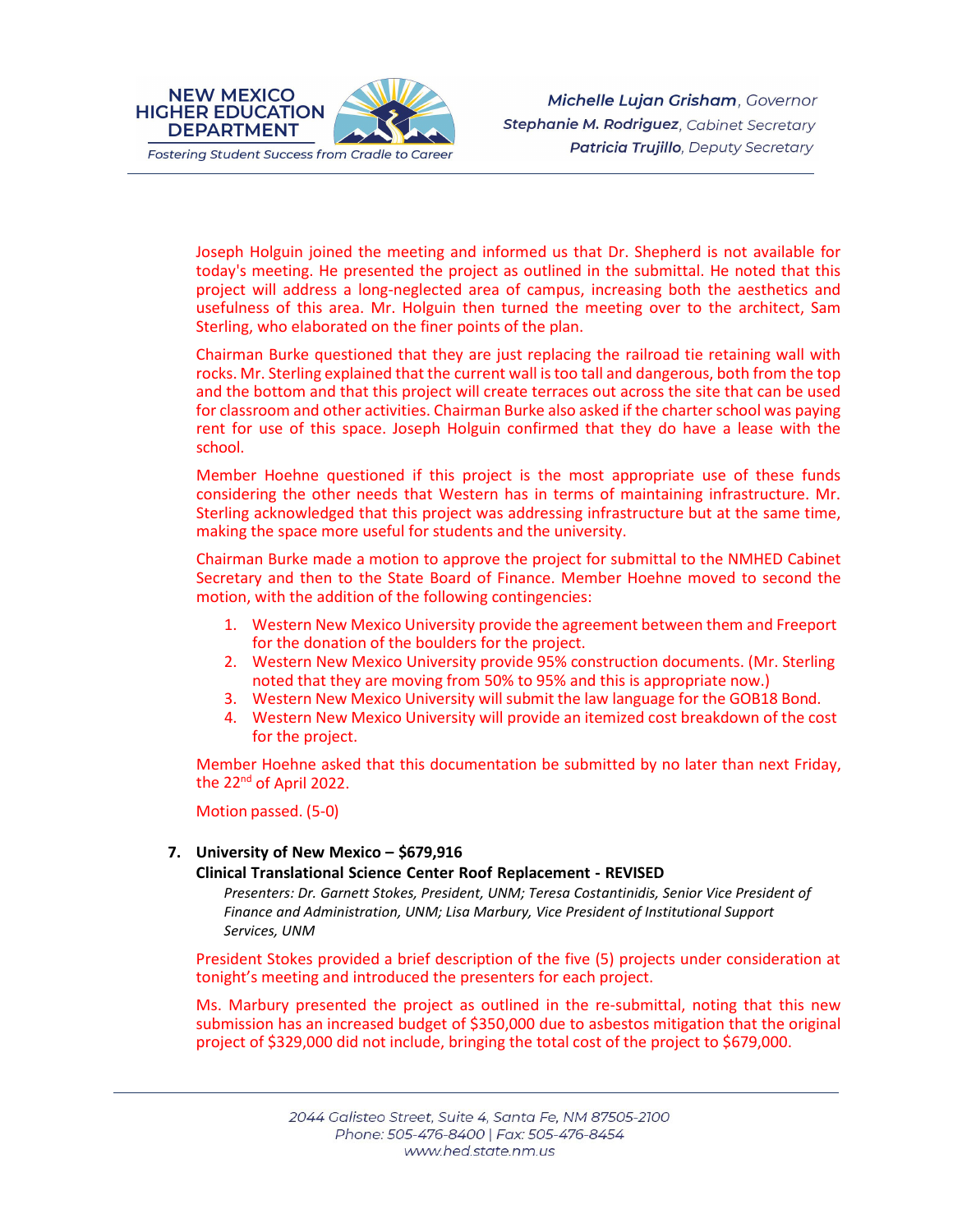

Joseph Holguin joined the meeting and informed us that Dr. Shepherd is not available for today's meeting. He presented the project as outlined in the submittal. He noted that this project will address a long-neglected area of campus, increasing both the aesthetics and usefulness of this area. Mr. Holguin then turned the meeting over to the architect, Sam Sterling, who elaborated on the finer points of the plan.

Chairman Burke questioned that they are just replacing the railroad tie retaining wall with rocks. Mr. Sterling explained that the current wall istoo tall and dangerous, both from the top and the bottom and that this project will create terraces out across the site that can be used for classroom and other activities. Chairman Burke also asked if the charter school was paying rent for use of this space. Joseph Holguin confirmed that they do have a lease with the school.

Member Hoehne questioned if this project is the most appropriate use of these funds considering the other needs that Western has in terms of maintaining infrastructure. Mr. Sterling acknowledged that this project was addressing infrastructure but at the same time, making the space more useful for students and the university.

Chairman Burke made a motion to approve the project for submittal to the NMHED Cabinet Secretary and then to the State Board of Finance. Member Hoehne moved to second the motion, with the addition of the following contingencies:

- 1. Western New Mexico University provide the agreement between them and Freeport for the donation of the boulders for the project.
- 2. Western New Mexico University provide 95% construction documents. (Mr. Sterling noted that they are moving from 50% to 95% and this is appropriate now.)
- 3. Western New Mexico University will submit the law language for the GOB18 Bond.
- 4. Western New Mexico University will provide an itemized cost breakdown of the cost for the project.

Member Hoehne asked that this documentation be submitted by no later than next Friday, the 22<sup>nd</sup> of April 2022.

Motion passed. (5-0)

## **7. University of New Mexico – \$679,916**

#### **Clinical Translational Science Center Roof Replacement - REVISED**

*Presenters: Dr. Garnett Stokes, President, UNM; Teresa Costantinidis, Senior Vice President of Finance and Administration, UNM; Lisa Marbury, Vice President of Institutional Support Services, UNM*

President Stokes provided a brief description of the five (5) projects under consideration at tonight's meeting and introduced the presenters for each project.

Ms. Marbury presented the project as outlined in the re-submittal, noting that this new submission has an increased budget of \$350,000 due to asbestos mitigation that the original project of \$329,000 did not include, bringing the total cost of the project to \$679,000.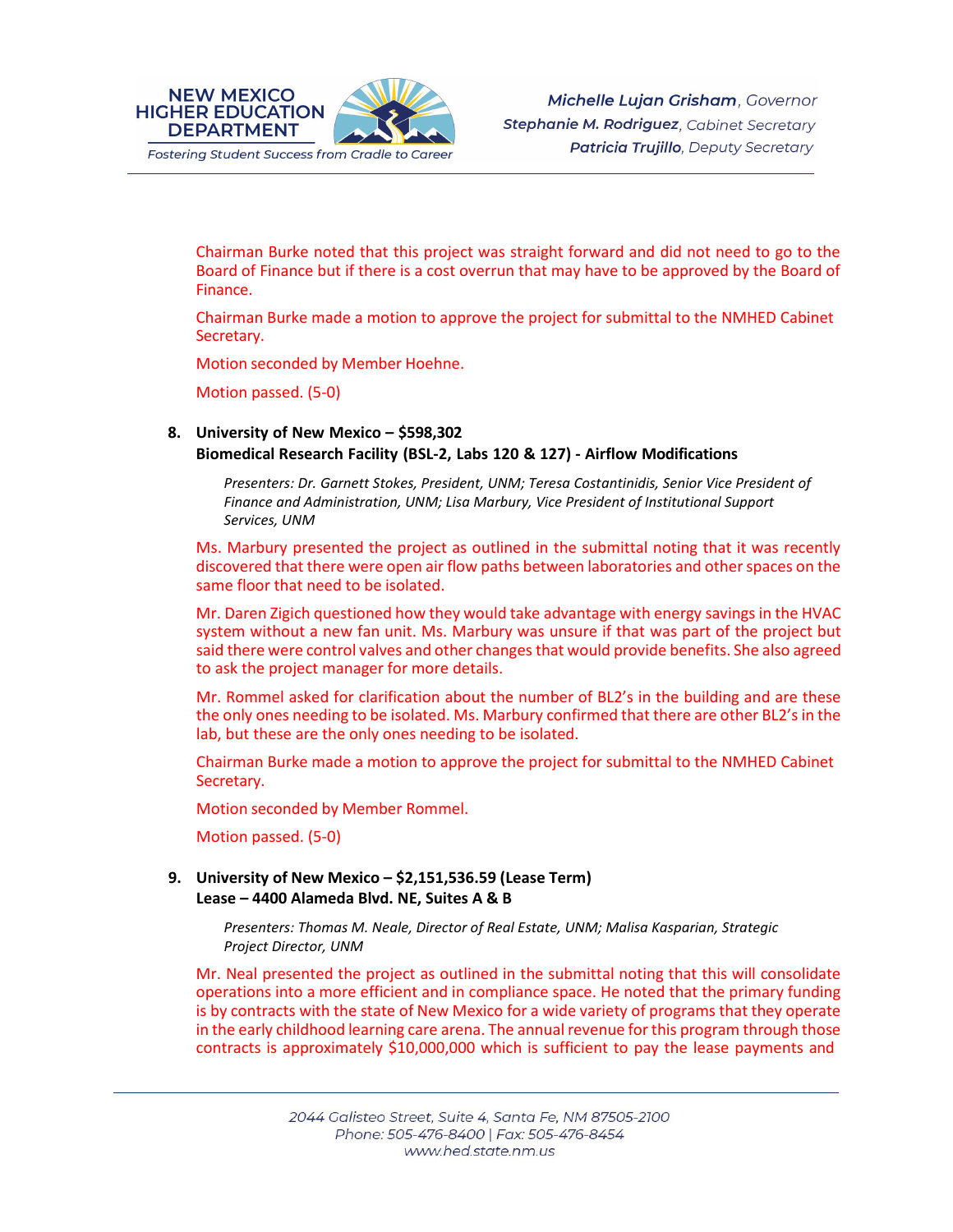

Chairman Burke noted that this project was straight forward and did not need to go to the Board of Finance but if there is a cost overrun that may have to be approved by the Board of Finance.

Chairman Burke made a motion to approve the project for submittal to the NMHED Cabinet Secretary.

Motion seconded by Member Hoehne.

Motion passed. (5-0)

## **8. University of New Mexico – \$598,302 Biomedical Research Facility (BSL-2, Labs 120 & 127) - Airflow Modifications**

*Presenters: Dr. Garnett Stokes, President, UNM; Teresa Costantinidis, Senior Vice President of Finance and Administration, UNM; Lisa Marbury, Vice President of Institutional Support Services, UNM*

Ms. Marbury presented the project as outlined in the submittal noting that it was recently discovered that there were open air flow paths between laboratories and other spaces on the same floor that need to be isolated.

Mr. Daren Zigich questioned how they would take advantage with energy savings in the HVAC system without a new fan unit. Ms. Marbury was unsure if that was part of the project but said there were control valves and other changes that would provide benefits. She also agreed to ask the project manager for more details.

Mr. Rommel asked for clarification about the number of BL2's in the building and are these the only ones needing to be isolated. Ms. Marbury confirmed that there are other BL2's in the lab, but these are the only ones needing to be isolated.

Chairman Burke made a motion to approve the project for submittal to the NMHED Cabinet Secretary.

Motion seconded by Member Rommel.

Motion passed. (5-0)

#### **9. University of New Mexico – \$2,151,536.59 (Lease Term) Lease – 4400 Alameda Blvd. NE, Suites A & B**

*Presenters: Thomas M. Neale, Director of Real Estate, UNM; Malisa Kasparian, Strategic Project Director, UNM*

Mr. Neal presented the project as outlined in the submittal noting that this will consolidate operations into a more efficient and in compliance space. He noted that the primary funding is by contracts with the state of New Mexico for a wide variety of programs that they operate in the early childhood learning care arena. The annual revenue for this program through those contracts is approximately \$10,000,000 which is sufficient to pay the lease payments and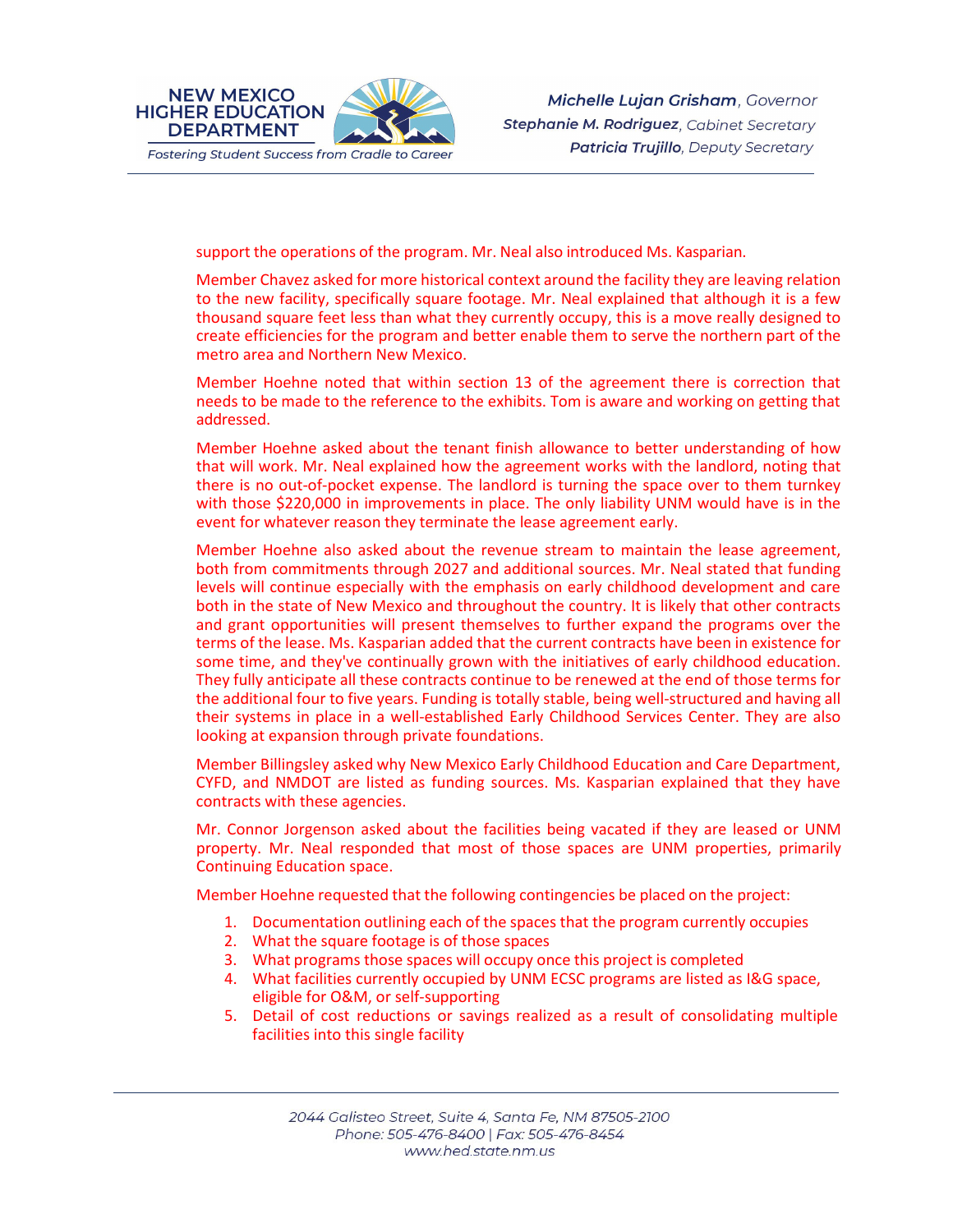

support the operations of the program. Mr. Neal also introduced Ms. Kasparian.

Member Chavez asked for more historical context around the facility they are leaving relation to the new facility, specifically square footage. Mr. Neal explained that although it is a few thousand square feet less than what they currently occupy, this is a move really designed to create efficiencies for the program and better enable them to serve the northern part of the metro area and Northern New Mexico.

Member Hoehne noted that within section 13 of the agreement there is correction that needs to be made to the reference to the exhibits. Tom is aware and working on getting that addressed.

Member Hoehne asked about the tenant finish allowance to better understanding of how that will work. Mr. Neal explained how the agreement works with the landlord, noting that there is no out-of-pocket expense. The landlord is turning the space over to them turnkey with those \$220,000 in improvements in place. The only liability UNM would have is in the event for whatever reason they terminate the lease agreement early.

Member Hoehne also asked about the revenue stream to maintain the lease agreement, both from commitments through 2027 and additional sources. Mr. Neal stated that funding levels will continue especially with the emphasis on early childhood development and care both in the state of New Mexico and throughout the country. It is likely that other contracts and grant opportunities will present themselves to further expand the programs over the terms of the lease. Ms. Kasparian added that the current contracts have been in existence for some time, and they've continually grown with the initiatives of early childhood education. They fully anticipate all these contracts continue to be renewed at the end of those terms for the additional four to five years. Funding is totally stable, being well-structured and having all their systems in place in a well-established Early Childhood Services Center. They are also looking at expansion through private foundations.

Member Billingsley asked why New Mexico Early Childhood Education and Care Department, CYFD, and NMDOT are listed as funding sources. Ms. Kasparian explained that they have contracts with these agencies.

Mr. Connor Jorgenson asked about the facilities being vacated if they are leased or UNM property. Mr. Neal responded that most of those spaces are UNM properties, primarily Continuing Education space.

Member Hoehne requested that the following contingencies be placed on the project:

- 1. Documentation outlining each of the spaces that the program currently occupies
- 2. What the square footage is of those spaces
- 3. What programs those spaces will occupy once this project is completed
- 4. What facilities currently occupied by UNM ECSC programs are listed as I&G space, eligible for O&M, or self-supporting
- 5. Detail of cost reductions or savings realized as a result of consolidating multiple facilities into this single facility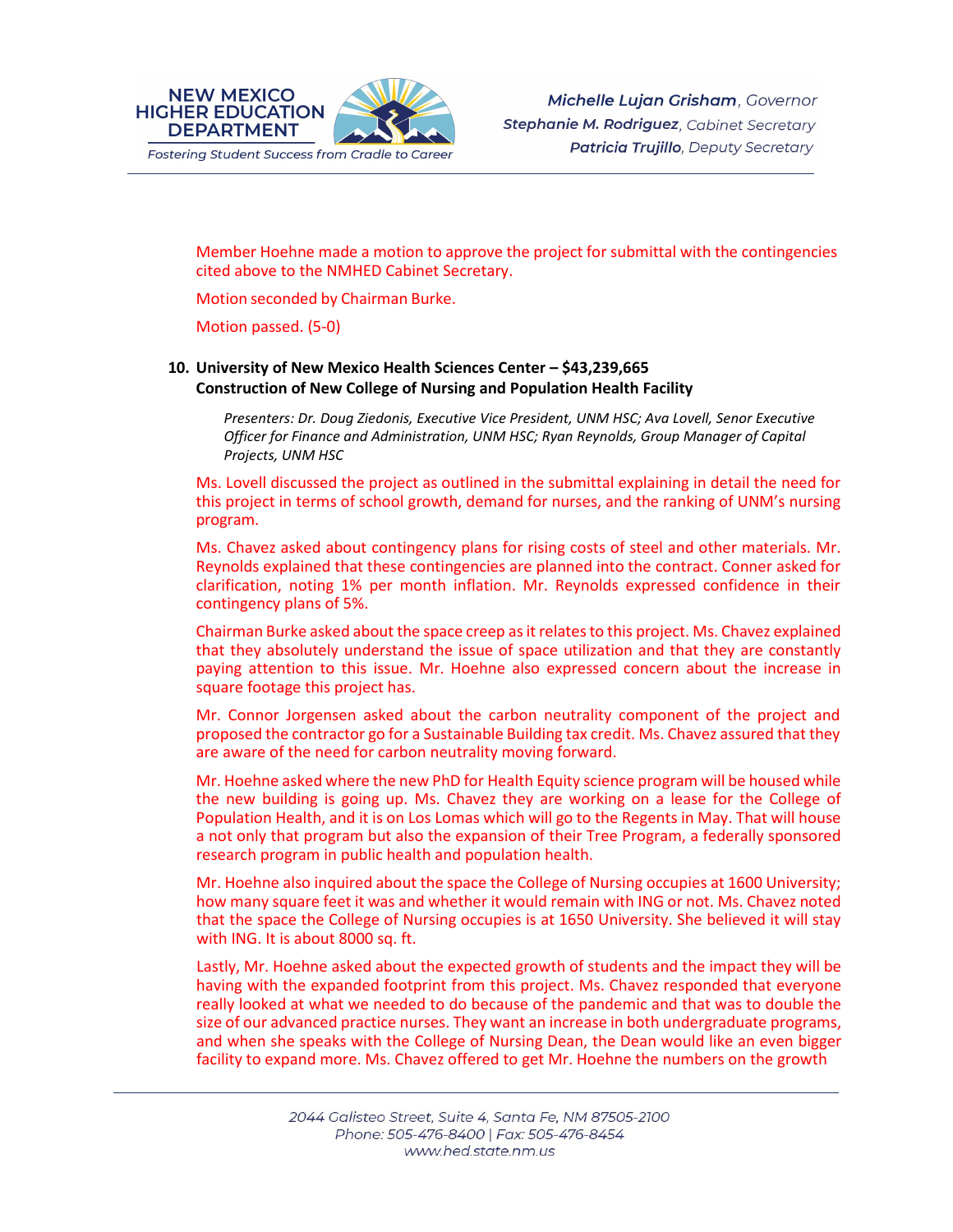

Member Hoehne made a motion to approve the project for submittal with the contingencies cited above to the NMHED Cabinet Secretary.

Motion seconded by Chairman Burke.

Motion passed. (5-0)

## **10. University of New Mexico Health Sciences Center – \$43,239,665 Construction of New College of Nursing and Population Health Facility**

*Presenters: Dr. Doug Ziedonis, Executive Vice President, UNM HSC; Ava Lovell, Senor Executive Officer for Finance and Administration, UNM HSC; Ryan Reynolds, Group Manager of Capital Projects, UNM HSC*

Ms. Lovell discussed the project as outlined in the submittal explaining in detail the need for this project in terms of school growth, demand for nurses, and the ranking of UNM's nursing program.

Ms. Chavez asked about contingency plans for rising costs of steel and other materials. Mr. Reynolds explained that these contingencies are planned into the contract. Conner asked for clarification, noting 1% per month inflation. Mr. Reynolds expressed confidence in their contingency plans of 5%.

Chairman Burke asked about the space creep as it relates to this project. Ms. Chavez explained that they absolutely understand the issue of space utilization and that they are constantly paying attention to this issue. Mr. Hoehne also expressed concern about the increase in square footage this project has.

Mr. Connor Jorgensen asked about the carbon neutrality component of the project and proposed the contractor go for a Sustainable Building tax credit. Ms. Chavez assured that they are aware of the need for carbon neutrality moving forward.

Mr. Hoehne asked where the new PhD for Health Equity science program will be housed while the new building is going up. Ms. Chavez they are working on a lease for the College of Population Health, and it is on Los Lomas which will go to the Regents in May. That will house a not only that program but also the expansion of their Tree Program, a federally sponsored research program in public health and population health.

Mr. Hoehne also inquired about the space the College of Nursing occupies at 1600 University; how many square feet it was and whether it would remain with ING or not. Ms. Chavez noted that the space the College of Nursing occupies is at 1650 University. She believed it will stay with ING. It is about 8000 sq. ft.

Lastly, Mr. Hoehne asked about the expected growth of students and the impact they will be having with the expanded footprint from this project. Ms. Chavez responded that everyone really looked at what we needed to do because of the pandemic and that was to double the size of our advanced practice nurses. They want an increase in both undergraduate programs, and when she speaks with the College of Nursing Dean, the Dean would like an even bigger facility to expand more. Ms. Chavez offered to get Mr. Hoehne the numbers on the growth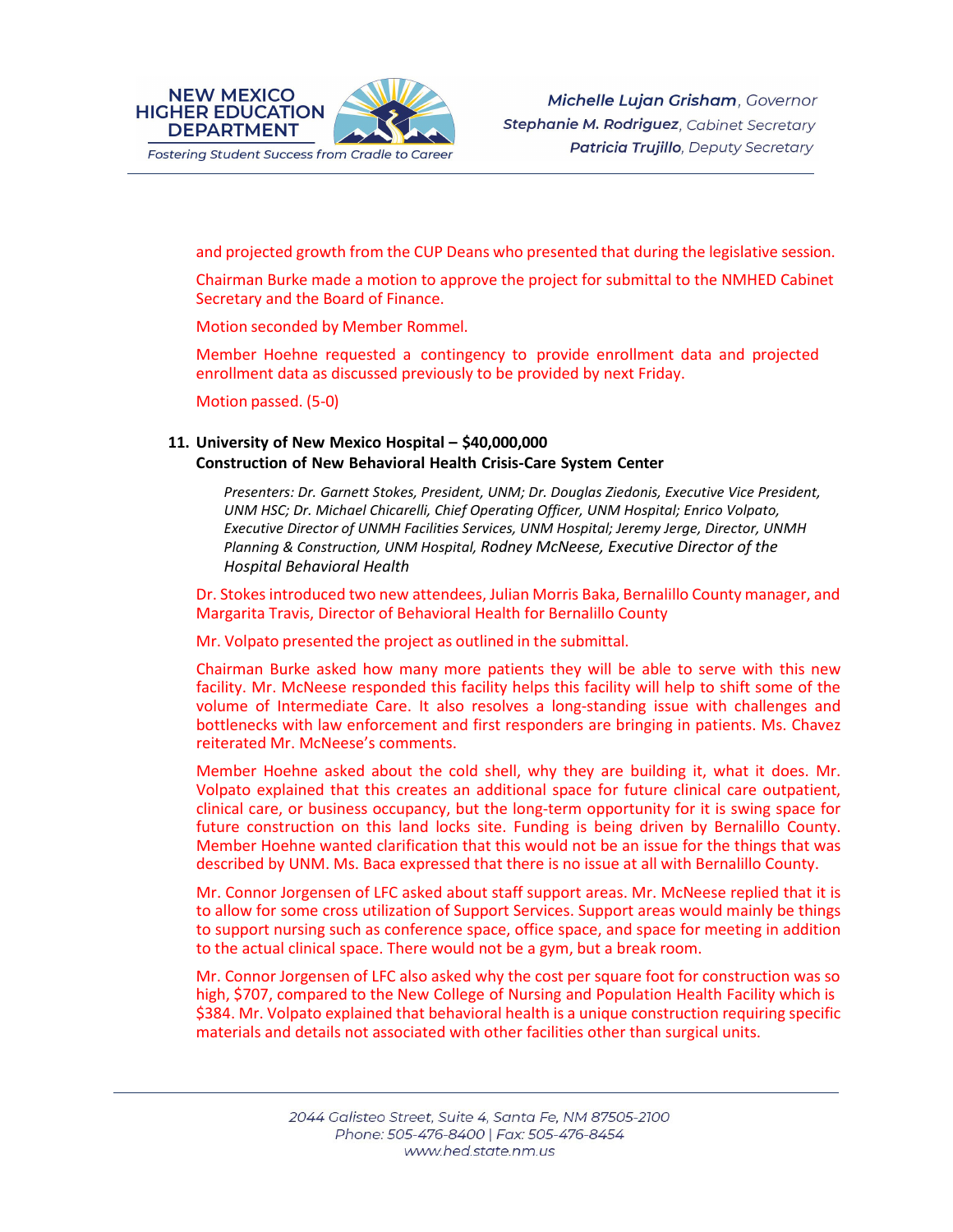

and projected growth from the CUP Deans who presented that during the legislative session.

Chairman Burke made a motion to approve the project for submittal to the NMHED Cabinet Secretary and the Board of Finance.

Motion seconded by Member Rommel.

Member Hoehne requested a contingency to provide enrollment data and projected enrollment data as discussed previously to be provided by next Friday.

Motion passed. (5-0)

## **11. University of New Mexico Hospital – \$40,000,000 Construction of New Behavioral Health Crisis-Care System Center**

*Presenters: Dr. Garnett Stokes, President, UNM; Dr. Douglas Ziedonis, Executive Vice President, UNM HSC; Dr. Michael Chicarelli, Chief Operating Officer, UNM Hospital; Enrico Volpato, Executive Director of UNMH Facilities Services, UNM Hospital; Jeremy Jerge, Director, UNMH Planning & Construction, UNM Hospital, Rodney McNeese, Executive Director of the Hospital Behavioral Health*

Dr. Stokes introduced two new attendees, Julian Morris Baka, Bernalillo County manager, and Margarita Travis, Director of Behavioral Health for Bernalillo County

Mr. Volpato presented the project as outlined in the submittal.

Chairman Burke asked how many more patients they will be able to serve with this new facility. Mr. McNeese responded this facility helps this facility will help to shift some of the volume of Intermediate Care. It also resolves a long-standing issue with challenges and bottlenecks with law enforcement and first responders are bringing in patients. Ms. Chavez reiterated Mr. McNeese's comments.

Member Hoehne asked about the cold shell, why they are building it, what it does. Mr. Volpato explained that this creates an additional space for future clinical care outpatient, clinical care, or business occupancy, but the long-term opportunity for it is swing space for future construction on this land locks site. Funding is being driven by Bernalillo County. Member Hoehne wanted clarification that this would not be an issue for the things that was described by UNM. Ms. Baca expressed that there is no issue at all with Bernalillo County.

Mr. Connor Jorgensen of LFC asked about staff support areas. Mr. McNeese replied that it is to allow for some cross utilization of Support Services. Support areas would mainly be things to support nursing such as conference space, office space, and space for meeting in addition to the actual clinical space. There would not be a gym, but a break room.

Mr. Connor Jorgensen of LFC also asked why the cost per square foot for construction was so high, \$707, compared to the New College of Nursing and Population Health Facility which is \$384. Mr. Volpato explained that behavioral health is a unique construction requiring specific materials and details not associated with other facilities other than surgical units.